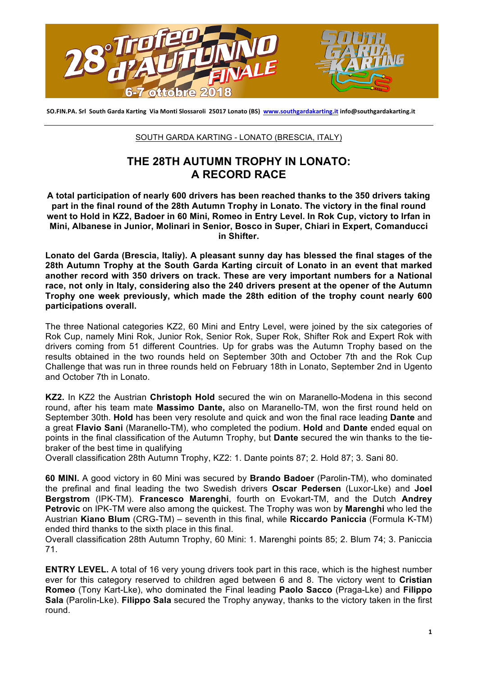

SO.FIN.PA. Srl South Garda Karting Via Monti Slossaroli 25017 Lonato (BS) www.southgardakarting.it info@southgardakarting.it

## SOUTH GARDA KARTING - LONATO (BRESCIA, ITALY)

## **THE 28TH AUTUMN TROPHY IN LONATO: A RECORD RACE**

**A total participation of nearly 600 drivers has been reached thanks to the 350 drivers taking part in the final round of the 28th Autumn Trophy in Lonato. The victory in the final round went to Hold in KZ2, Badoer in 60 Mini, Romeo in Entry Level. In Rok Cup, victory to Irfan in Mini, Albanese in Junior, Molinari in Senior, Bosco in Super, Chiari in Expert, Comanducci in Shifter.** 

**Lonato del Garda (Brescia, Italiy). A pleasant sunny day has blessed the final stages of the 28th Autumn Trophy at the South Garda Karting circuit of Lonato in an event that marked another record with 350 drivers on track. These are very important numbers for a National race, not only in Italy, considering also the 240 drivers present at the opener of the Autumn Trophy one week previously, which made the 28th edition of the trophy count nearly 600 participations overall.**

The three National categories KZ2, 60 Mini and Entry Level, were joined by the six categories of Rok Cup, namely Mini Rok, Junior Rok, Senior Rok, Super Rok, Shifter Rok and Expert Rok with drivers coming from 51 different Countries. Up for grabs was the Autumn Trophy based on the results obtained in the two rounds held on September 30th and October 7th and the Rok Cup Challenge that was run in three rounds held on February 18th in Lonato, September 2nd in Ugento and October 7th in Lonato.

**KZ2.** In KZ2 the Austrian **Christoph Hold** secured the win on Maranello-Modena in this second round, after his team mate **Massimo Dante,** also on Maranello-TM, won the first round held on September 30th. **Hold** has been very resolute and quick and won the final race leading **Dante** and a great **Flavio Sani** (Maranello-TM), who completed the podium. **Hold** and **Dante** ended equal on points in the final classification of the Autumn Trophy, but **Dante** secured the win thanks to the tiebraker of the best time in qualifying

Overall classification 28th Autumn Trophy, KZ2: 1. Dante points 87; 2. Hold 87; 3. Sani 80.

**60 MINI.** A good victory in 60 Mini was secured by **Brando Badoer** (Parolin-TM), who dominated the prefinal and final leading the two Swedish drivers **Oscar Pedersen** (Luxor-Lke) and **Joel Bergstrom** (IPK-TM). **Francesco Marenghi**, fourth on Evokart-TM, and the Dutch **Andrey Petrovic** on IPK-TM were also among the quickest. The Trophy was won by **Marenghi** who led the Austrian **Kiano Blum** (CRG-TM) – seventh in this final, while **Riccardo Paniccia** (Formula K-TM) ended third thanks to the sixth place in this final.

Overall classification 28th Autumn Trophy, 60 Mini: 1. Marenghi points 85; 2. Blum 74; 3. Paniccia 71.

**ENTRY LEVEL.** A total of 16 very young drivers took part in this race, which is the highest number ever for this category reserved to children aged between 6 and 8. The victory went to **Cristian Romeo** (Tony Kart-Lke), who dominated the Final leading **Paolo Sacco** (Praga-Lke) and **Filippo Sala** (Parolin-Lke). **Filippo Sala** secured the Trophy anyway, thanks to the victory taken in the first round.